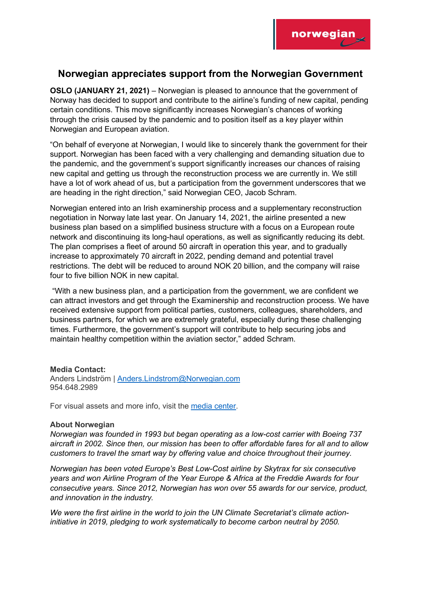

## **Norwegian appreciates support from the Norwegian Government**

**OSLO (JANUARY 21, 2021)** – Norwegian is pleased to announce that the government of Norway has decided to support and contribute to the airline's funding of new capital, pending certain conditions. This move significantly increases Norwegian's chances of working through the crisis caused by the pandemic and to position itself as a key player within Norwegian and European aviation.

"On behalf of everyone at Norwegian, I would like to sincerely thank the government for their support. Norwegian has been faced with a very challenging and demanding situation due to the pandemic, and the government's support significantly increases our chances of raising new capital and getting us through the reconstruction process we are currently in. We still have a lot of work ahead of us, but a participation from the government underscores that we are heading in the right direction," said Norwegian CEO, Jacob Schram.

Norwegian entered into an Irish examinership process and a supplementary reconstruction negotiation in Norway late last year. On January 14, 2021, the airline presented a new business plan based on a simplified business structure with a focus on a European route network and discontinuing its long-haul operations, as well as significantly reducing its debt. The plan comprises a fleet of around 50 aircraft in operation this year, and to gradually increase to approximately 70 aircraft in 2022, pending demand and potential travel restrictions. The debt will be reduced to around NOK 20 billion, and the company will raise four to five billion NOK in new capital.

"With a new business plan, and a participation from the government, we are confident we can attract investors and get through the Examinership and reconstruction process. We have received extensive support from political parties, customers, colleagues, shareholders, and business partners, for which we are extremely grateful, especially during these challenging times. Furthermore, the government's support will contribute to help securing jobs and maintain healthy competition within the aviation sector," added Schram.

## **Media Contact:**

Anders Lindström | [Anders.Lindstrom@Norwegian.com](mailto:Anders.Lindstrom@Norwegian.com) 954.648.2989

For visual assets and more info, visit the [media center.](https://media.us.norwegian.com/)

## **About Norwegian**

*Norwegian was founded in 1993 but began operating as a low-cost carrier with Boeing 737 aircraft in 2002. Since then, our mission has been to offer affordable fares for all and to allow customers to travel the smart way by offering value and choice throughout their journey.*

*Norwegian has been voted Europe's Best Low-Cost airline by Skytrax for six consecutive years and won Airline Program of the Year Europe & Africa at the Freddie Awards for four consecutive years. Since 2012, Norwegian has won over 55 awards for our service, product, and innovation in the industry.*

*We were the first airline in the world to join the UN Climate Secretariat's climate actioninitiative in 2019, pledging to work systematically to become carbon neutral by 2050.*